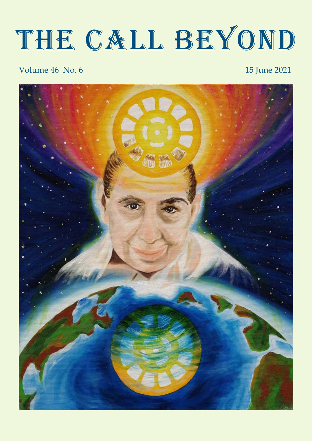# THE CALL BEYOND

#### Volume 46 No. 6 15 June 2021

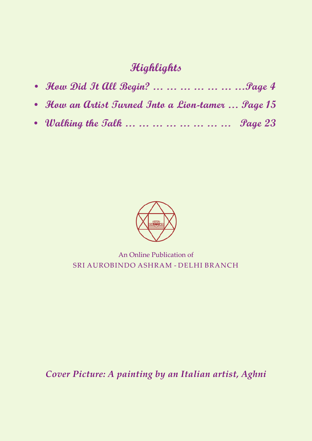## **Highlights**

| • How Did It all Begin?        Page 4             |
|---------------------------------------------------|
| • How an Artist Turned Into a Lion-tamer  Page 15 |
| • Walking the Talk $\mathcal{G}age$ 23            |



An Online Publication of SRI AUROBINDO ASHRAM - DELHI BRANCH

*Cover Picture: A painting by an Italian artist, Aghni*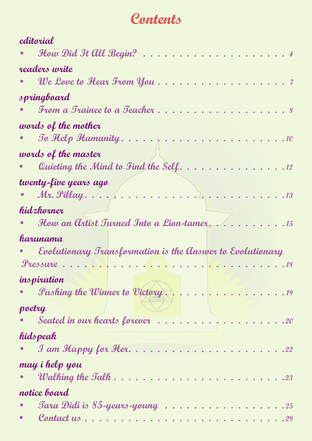## Contents

|             | editorial                                                 |
|-------------|-----------------------------------------------------------|
|             | How Did It all Begin?                                     |
|             | readers write                                             |
|             | We Love to Hear From You 7                                |
|             | springboard                                               |
|             | From a Trainee to a Teacher                               |
|             | words of the mother                                       |
|             | To Help Humanity<br>. 10                                  |
|             | words of the master                                       |
|             | Quieting the Mind to Find the Self. $\ldots$ 12           |
|             | twenty-five years ago                                     |
|             |                                                           |
|             | kidzkorner                                                |
|             | How an Artist Turned Into a Lion-tamer. V.  15            |
|             | karunama                                                  |
|             | Evolutionary Transformation is the Answer to Evolutionary |
|             | Pressure<br>$\therefore 18$                               |
|             | <i>inspiration</i>                                        |
|             |                                                           |
|             | poetry                                                    |
|             | Seated in our hearts forever 20                           |
|             | kids peak                                                 |
| $\bullet$ . | I am Happy for Her22                                      |
|             | may i help you                                            |
|             |                                                           |
|             | notice board                                              |
|             | Tara Didi is 85-years-young 25<br>Contact us<br>29        |
|             |                                                           |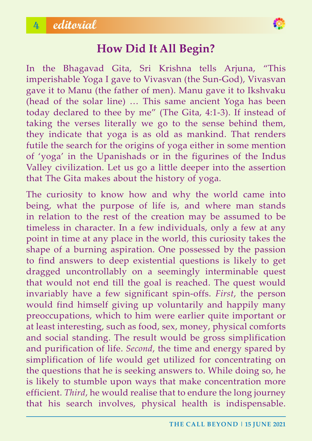

## **How Did It All Begin?**

In the Bhagavad Gita, Sri Krishna tells Arjuna, "This imperishable Yoga I gave to Vivasvan (the Sun-God), Vivasvan gave it to Manu (the father of men). Manu gave it to Ikshvaku (head of the solar line) … This same ancient Yoga has been today declared to thee by me" (The Gita, 4:1-3). If instead of taking the verses literally we go to the sense behind them, they indicate that yoga is as old as mankind. That renders futile the search for the origins of yoga either in some mention of 'yoga' in the Upanishads or in the figurines of the Indus Valley civilization. Let us go a little deeper into the assertion that The Gita makes about the history of yoga.

The curiosity to know how and why the world came into being, what the purpose of life is, and where man stands in relation to the rest of the creation may be assumed to be timeless in character. In a few individuals, only a few at any point in time at any place in the world, this curiosity takes the shape of a burning aspiration. One possessed by the passion to find answers to deep existential questions is likely to get dragged uncontrollably on a seemingly interminable quest that would not end till the goal is reached. The quest would invariably have a few significant spin-offs. *First*, the person would find himself giving up voluntarily and happily many preoccupations, which to him were earlier quite important or at least interesting, such as food, sex, money, physical comforts and social standing. The result would be gross simplification and purification of life. *Second*, the time and energy spared by simplification of life would get utilized for concentrating on the questions that he is seeking answers to. While doing so, he is likely to stumble upon ways that make concentration more efficient. *Third*, he would realise that to endure the long journey that his search involves, physical health is indispensable.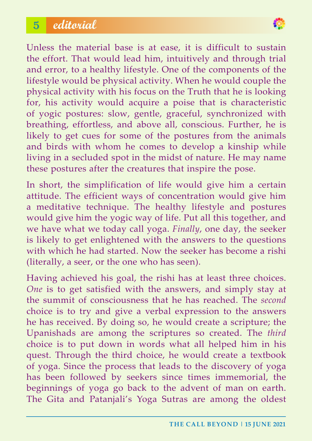## **editorial** 5



Unless the material base is at ease, it is difficult to sustain the effort. That would lead him, intuitively and through trial and error, to a healthy lifestyle. One of the components of the lifestyle would be physical activity. When he would couple the physical activity with his focus on the Truth that he is looking for, his activity would acquire a poise that is characteristic of yogic postures: slow, gentle, graceful, synchronized with breathing, effortless, and above all, conscious. Further, he is likely to get cues for some of the postures from the animals and birds with whom he comes to develop a kinship while living in a secluded spot in the midst of nature. He may name these postures after the creatures that inspire the pose.

In short, the simplification of life would give him a certain attitude. The efficient ways of concentration would give him a meditative technique. The healthy lifestyle and postures would give him the yogic way of life. Put all this together, and we have what we today call yoga. *Finally*, one day, the seeker is likely to get enlightened with the answers to the questions with which he had started. Now the seeker has become a rishi (literally, a seer, or the one who has seen).

Having achieved his goal, the rishi has at least three choices. *One* is to get satisfied with the answers, and simply stay at the summit of consciousness that he has reached. The *second*  choice is to try and give a verbal expression to the answers he has received. By doing so, he would create a scripture; the Upanishads are among the scriptures so created. The *third*  choice is to put down in words what all helped him in his quest. Through the third choice, he would create a textbook of yoga. Since the process that leads to the discovery of yoga has been followed by seekers since times immemorial, the beginnings of yoga go back to the advent of man on earth. The Gita and Patanjali's Yoga Sutras are among the oldest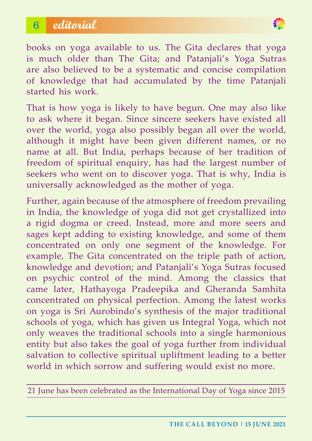## **editorial** 6



books on yoga available to us. The Gita declares that yoga is much older than The Gita; and Patanjali's Yoga Sutras are also believed to be a systematic and concise compilation of knowledge that had accumulated by the time Patanjali started his work.

That is how yoga is likely to have begun. One may also like to ask where it began. Since sincere seekers have existed all over the world, yoga also possibly began all over the world, although it might have been given different names, or no name at all. But India, perhaps because of her tradition of freedom of spiritual enquiry, has had the largest number of seekers who went on to discover yoga. That is why, India is universally acknowledged as the mother of yoga.

Further, again because of the atmosphere of freedom prevailing in India, the knowledge of yoga did not get crystallized into a rigid dogma or creed. Instead, more and more seers and sages kept adding to existing knowledge, and some of them concentrated on only one segment of the knowledge. For example, The Gita concentrated on the triple path of action, knowledge and devotion; and Patanjali's Yoga Sutras focused on psychic control of the mind. Among the classics that came later, Hathayoga Pradeepika and Gheranda Samhita concentrated on physical perfection. Among the latest works on yoga is Sri Aurobindo's synthesis of the major traditional schools of yoga, which has given us Integral Yoga, which not only weaves the traditional schools into a single harmonious entity but also takes the goal of yoga further from individual salvation to collective spiritual upliftment leading to a better world in which sorrow and suffering would exist no more.

21 June has been celebrated as the International Day of Yoga since 2015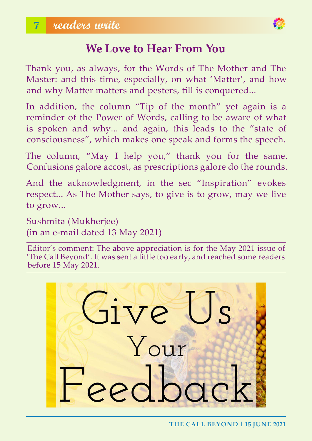

## **We love to hear From you**

Thank you, as always, for the Words of The Mother and The Master: and this time, especially, on what 'Matter', and how and why Matter matters and pesters, till is conquered...

In addition, the column "Tip of the month" yet again is a reminder of the Power of Words, calling to be aware of what is spoken and why... and again, this leads to the "state of consciousness", which makes one speak and forms the speech.

The column, "May I help you," thank you for the same. Confusions galore accost, as prescriptions galore do the rounds.

And the acknowledgment, in the sec "Inspiration" evokes respect... As The Mother says, to give is to grow, may we live to grow...

Sushmita (Mukherjee) (in an e-mail dated 13 May 2021)

Editor's comment: The above appreciation is for the May 2021 issue of 'The Call Beyond'. It was sent a little too early, and reached some readers before 15 May 2021.

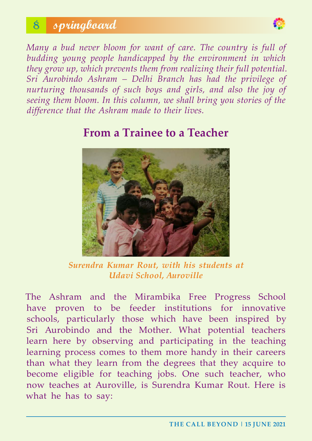## **springboard** 8



*Many a bud never bloom for want of care. The country is full of budding young people handicapped by the environment in which they grow up, which prevents them from realizing their full potential. Sri Aurobindo Ashram – Delhi Branch has had the privilege of nurturing thousands of such boys and girls, and also the joy of seeing them bloom. In this column, we shall bring you stories of the difference that the Ashram made to their lives.* 

## **From a Trainee to a Teacher**



*Surendra Kumar Rout, with his students at Udavi School, Auroville*

The Ashram and the Mirambika Free Progress School have proven to be feeder institutions for innovative schools, particularly those which have been inspired by Sri Aurobindo and the Mother. What potential teachers learn here by observing and participating in the teaching learning process comes to them more handy in their careers than what they learn from the degrees that they acquire to become eligible for teaching jobs. One such teacher, who now teaches at Auroville, is Surendra Kumar Rout. Here is what he has to say: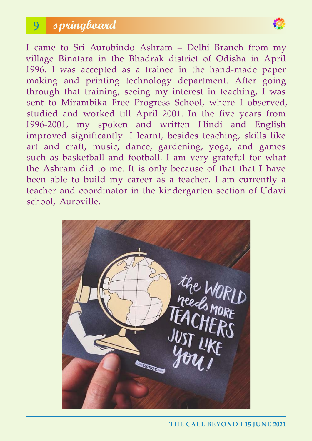## **springboard** 9



I came to Sri Aurobindo Ashram – Delhi Branch from my village Binatara in the Bhadrak district of Odisha in April 1996. I was accepted as a trainee in the hand-made paper making and printing technology department. After going through that training, seeing my interest in teaching, I was sent to Mirambika Free Progress School, where I observed, studied and worked till April 2001. In the five years from 1996-2001, my spoken and written Hindi and English improved significantly. I learnt, besides teaching, skills like art and craft, music, dance, gardening, yoga, and games such as basketball and football. I am very grateful for what the Ashram did to me. It is only because of that that I have been able to build my career as a teacher. I am currently a teacher and coordinator in the kindergarten section of Udavi school, Auroville.

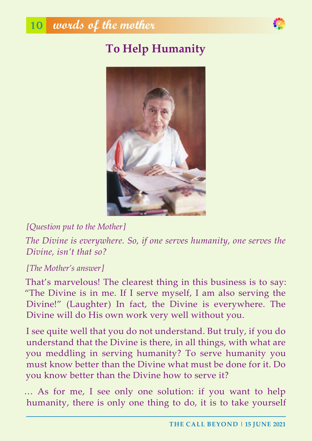## **To help humanity**



### *[Question put to the Mother]*

*The Divine is everywhere. So, if one serves humanity, one serves the Divine, isn't that so?*

#### *[The Mother's answer]*

That's marvelous! The clearest thing in this business is to say: "The Divine is in me. If I serve myself, I am also serving the Divine!" (Laughter) In fact, the Divine is everywhere. The Divine will do His own work very well without you.

I see quite well that you do not understand. But truly, if you do understand that the Divine is there, in all things, with what are you meddling in serving humanity? To serve humanity you must know better than the Divine what must be done for it. Do you know better than the Divine how to serve it?

… As for me, I see only one solution: if you want to help humanity, there is only one thing to do, it is to take yourself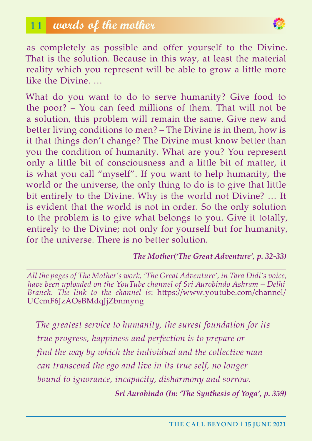## 11 words of the mother



as completely as possible and offer yourself to the Divine. That is the solution. Because in this way, at least the material reality which you represent will be able to grow a little more like the Divine. …

What do you want to do to serve humanity? Give food to the poor? – You can feed millions of them. That will not be a solution, this problem will remain the same. Give new and better living conditions to men? – The Divine is in them, how is it that things don't change? The Divine must know better than you the condition of humanity. What are you? You represent only a little bit of consciousness and a little bit of matter, it is what you call "myself". If you want to help humanity, the world or the universe, the only thing to do is to give that little bit entirely to the Divine. Why is the world not Divine? … It is evident that the world is not in order. So the only solution to the problem is to give what belongs to you. Give it totally, entirely to the Divine; not only for yourself but for humanity, for the universe. There is no better solution.

#### *The Mother('The Great Adventure', p. 32-33)*

*All the pages of The Mother's work, 'The Great Adventure', in Tara Didi's voice, have been uploaded on the YouTube channel of Sri Aurobindo Ashram – Delhi Branch. The link to the channel is*: https://www.youtube.com/channel/ UCcmF6JzAOsBMdqJjZbnmyng

*The greatest service to humanity, the surest foundation for its true progress, happiness and perfection is to prepare or find the way by which the individual and the collective man can transcend the ego and live in its true self, no longer bound to ignorance, incapacity, disharmony and sorrow.*

*Sri Aurobindo (In: 'The Synthesis of Yoga', p. 359)*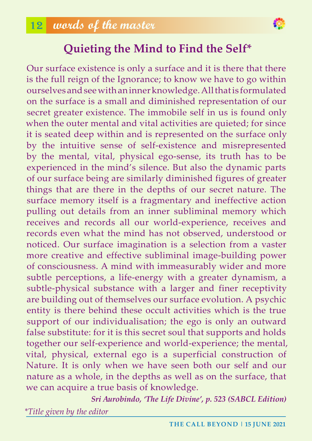

## **Quieting the Mind to Find the Self\***

Our surface existence is only a surface and it is there that there is the full reign of the Ignorance; to know we have to go within ourselves and see with an inner knowledge. All that is formulated on the surface is a small and diminished representation of our secret greater existence. The immobile self in us is found only when the outer mental and vital activities are quieted; for since it is seated deep within and is represented on the surface only by the intuitive sense of self-existence and misrepresented by the mental, vital, physical ego-sense, its truth has to be experienced in the mind's silence. But also the dynamic parts of our surface being are similarly diminished figures of greater things that are there in the depths of our secret nature. The surface memory itself is a fragmentary and ineffective action pulling out details from an inner subliminal memory which receives and records all our world-experience, receives and records even what the mind has not observed, understood or noticed. Our surface imagination is a selection from a vaster more creative and effective subliminal image-building power of consciousness. A mind with immeasurably wider and more subtle perceptions, a life-energy with a greater dynamism, a subtle-physical substance with a larger and finer receptivity are building out of themselves our surface evolution. A psychic entity is there behind these occult activities which is the true support of our individualisation; the ego is only an outward false substitute: for it is this secret soul that supports and holds together our self-experience and world-experience; the mental, vital, physical, external ego is a superficial construction of Nature. It is only when we have seen both our self and our nature as a whole, in the depths as well as on the surface, that we can acquire a true basis of knowledge.

*Sri Aurobindo, 'The Life Divine', p. 523 (SABCL Edition) \*Title given by the editor*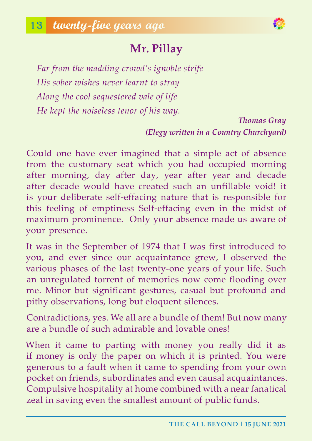## **Mr. Pillay**

*Far from the madding crowd's ignoble strife His sober wishes never learnt to stray Along the cool sequestered vale of life He kept the noiseless tenor of his way.*

*Thomas Gray (Elegy written in a Country Churchyard)*

Could one have ever imagined that a simple act of absence from the customary seat which you had occupied morning after morning, day after day, year after year and decade after decade would have created such an unfillable void! it is your deliberate self-effacing nature that is responsible for this feeling of emptiness Self-effacing even in the midst of maximum prominence. Only your absence made us aware of your presence.

It was in the September of 1974 that I was first introduced to you, and ever since our acquaintance grew, I observed the various phases of the last twenty-one years of your life. Such an unregulated torrent of memories now come flooding over me. Minor but significant gestures, casual but profound and pithy observations, long but eloquent silences.

Contradictions, yes. We all are a bundle of them! But now many are a bundle of such admirable and lovable ones!

When it came to parting with money you really did it as if money is only the paper on which it is printed. You were generous to a fault when it came to spending from your own pocket on friends, subordinates and even causal acquaintances. Compulsive hospitality at home combined with a near fanatical zeal in saving even the smallest amount of public funds.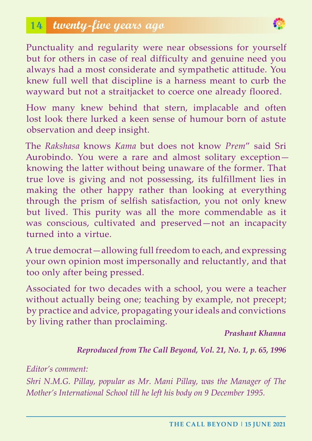

Punctuality and regularity were near obsessions for yourself but for others in case of real difficulty and genuine need you always had a most considerate and sympathetic attitude. You knew full well that discipline is a harness meant to curb the wayward but not a straitjacket to coerce one already floored.

How many knew behind that stern, implacable and often lost look there lurked a keen sense of humour born of astute observation and deep insight.

The *Rakshasa* knows *Kama* but does not know *Prem*" said Sri Aurobindo. You were a rare and almost solitary exception knowing the latter without being unaware of the former. That true love is giving and not possessing, its fulfillment lies in making the other happy rather than looking at everything through the prism of selfish satisfaction, you not only knew but lived. This purity was all the more commendable as it was conscious, cultivated and preserved—not an incapacity turned into a virtue.

A true democrat—allowing full freedom to each, and expressing your own opinion most impersonally and reluctantly, and that too only after being pressed.

Associated for two decades with a school, you were a teacher without actually being one; teaching by example, not precept; by practice and advice, propagating your ideals and convictions by living rather than proclaiming.

*Prashant Khanna*

*Reproduced from The Call Beyond, Vol. 21, No. 1, p. 65, 1996*

*Editor's comment:* 

*Shri N.M.G. Pillay, popular as Mr. Mani Pillay, was the Manager of The Mother's International School till he left his body on 9 December 1995.*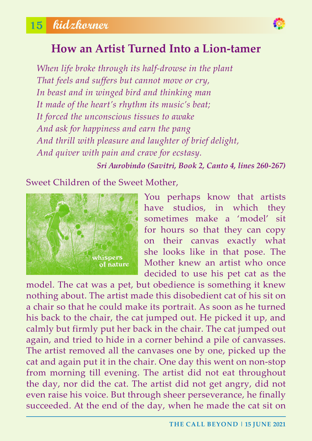

## **how an artist Turned Into a lion-tamer**

*When life broke through its half-drowse in the plant That feels and suffers but cannot move or cry, In beast and in winged bird and thinking man It made of the heart's rhythm its music's beat; It forced the unconscious tissues to awake And ask for happiness and earn the pang And thrill with pleasure and laughter of brief delight, And quiver with pain and crave for ecstasy. Sri Aurobindo (Savitri, Book 2, Canto 4, lines 260-267)*

### Sweet Children of the Sweet Mother,



You perhaps know that artists have studios, in which they sometimes make a 'model' sit for hours so that they can copy on their canvas exactly what she looks like in that pose. The Mother knew an artist who once decided to use his pet cat as the

model. The cat was a pet, but obedience is something it knew nothing about. The artist made this disobedient cat of his sit on a chair so that he could make its portrait. As soon as he turned his back to the chair, the cat jumped out. He picked it up, and calmly but firmly put her back in the chair. The cat jumped out again, and tried to hide in a corner behind a pile of canvasses. The artist removed all the canvases one by one, picked up the cat and again put it in the chair. One day this went on non-stop from morning till evening. The artist did not eat throughout the day, nor did the cat. The artist did not get angry, did not even raise his voice. But through sheer perseverance, he finally succeeded. At the end of the day, when he made the cat sit on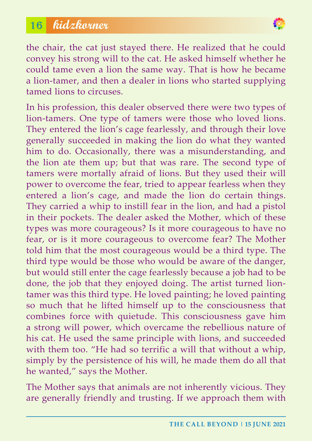

the chair, the cat just stayed there. He realized that he could convey his strong will to the cat. He asked himself whether he could tame even a lion the same way. That is how he became a lion-tamer, and then a dealer in lions who started supplying tamed lions to circuses.

In his profession, this dealer observed there were two types of lion-tamers. One type of tamers were those who loved lions. They entered the lion's cage fearlessly, and through their love generally succeeded in making the lion do what they wanted him to do. Occasionally, there was a misunderstanding, and the lion ate them up; but that was rare. The second type of tamers were mortally afraid of lions. But they used their will power to overcome the fear, tried to appear fearless when they entered a lion's cage, and made the lion do certain things. They carried a whip to instill fear in the lion, and had a pistol in their pockets. The dealer asked the Mother, which of these types was more courageous? Is it more courageous to have no fear, or is it more courageous to overcome fear? The Mother told him that the most courageous would be a third type. The third type would be those who would be aware of the danger, but would still enter the cage fearlessly because a job had to be done, the job that they enjoyed doing. The artist turned liontamer was this third type. He loved painting; he loved painting so much that he lifted himself up to the consciousness that combines force with quietude. This consciousness gave him a strong will power, which overcame the rebellious nature of his cat. He used the same principle with lions, and succeeded with them too. "He had so terrific a will that without a whip, simply by the persistence of his will, he made them do all that he wanted," says the Mother.

The Mother says that animals are not inherently vicious. They are generally friendly and trusting. If we approach them with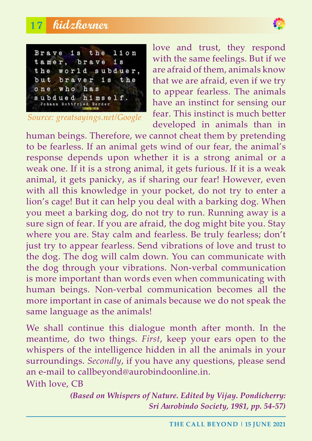#### **kidzkorner** 17





*Source: greatsayings.net/Google*

love and trust, they respond with the same feelings. But if we are afraid of them, animals know that we are afraid, even if we try to appear fearless. The animals have an instinct for sensing our fear. This instinct is much better developed in animals than in

human beings. Therefore, we cannot cheat them by pretending to be fearless. If an animal gets wind of our fear, the animal's response depends upon whether it is a strong animal or a weak one. If it is a strong animal, it gets furious. If it is a weak animal, it gets panicky, as if sharing our fear! However, even with all this knowledge in your pocket, do not try to enter a lion's cage! But it can help you deal with a barking dog. When you meet a barking dog, do not try to run. Running away is a sure sign of fear. If you are afraid, the dog might bite you. Stay where you are. Stay calm and fearless. Be truly fearless; don't just try to appear fearless. Send vibrations of love and trust to the dog. The dog will calm down. You can communicate with the dog through your vibrations. Non-verbal communication is more important than words even when communicating with human beings. Non-verbal communication becomes all the more important in case of animals because we do not speak the same language as the animals!

We shall continue this dialogue month after month. In the meantime, do two things. *First*, keep your ears open to the whispers of the intelligence hidden in all the animals in your surroundings. *Secondly*, if you have any questions, please send an e-mail to callbeyond@aurobindoonline.in.

With love, CB

*(Based on Whispers of Nature. Edited by Vijay. Pondicherry: Sri Aurobindo Society, 1981, pp. 54-57)*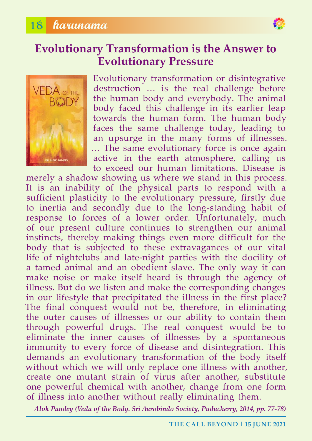## 18 karunama



## **Evolutionary Transformation is the Answer to evolutionary Pressure**



Evolutionary transformation or disintegrative destruction … is the real challenge before the human body and everybody. The animal body faced this challenge in its earlier leap towards the human form. The human body faces the same challenge today, leading to an upsurge in the many forms of illnesses. … The same evolutionary force is once again active in the earth atmosphere, calling us to exceed our human limitations. Disease is

merely a shadow showing us where we stand in this process. It is an inability of the physical parts to respond with a sufficient plasticity to the evolutionary pressure, firstly due to inertia and secondly due to the long-standing habit of response to forces of a lower order. Unfortunately, much of our present culture continues to strengthen our animal instincts, thereby making things even more difficult for the body that is subjected to these extravagances of our vital life of nightclubs and late-night parties with the docility of a tamed animal and an obedient slave. The only way it can make noise or make itself heard is through the agency of illness. But do we listen and make the corresponding changes in our lifestyle that precipitated the illness in the first place? The final conquest would not be, therefore, in eliminating the outer causes of illnesses or our ability to contain them through powerful drugs. The real conquest would be to eliminate the inner causes of illnesses by a spontaneous immunity to every force of disease and disintegration. This demands an evolutionary transformation of the body itself without which we will only replace one illness with another, create one mutant strain of virus after another, substitute one powerful chemical with another, change from one form of illness into another without really eliminating them.

*Alok Pandey (Veda of the Body. Sri Aurobindo Society, Puducherry, 2014, pp. 77-78)*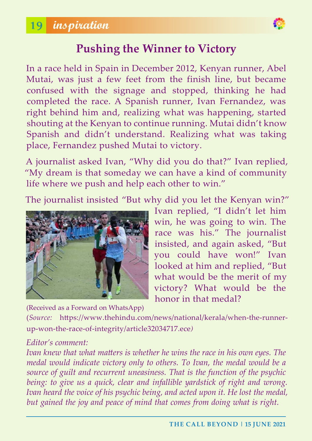

## **Pushing the Winner to Victory**

In a race held in Spain in December 2012, Kenyan runner, Abel Mutai, was just a few feet from the finish line, but became confused with the signage and stopped, thinking he had completed the race. A Spanish runner, Ivan Fernandez, was right behind him and, realizing what was happening, started shouting at the Kenyan to continue running. Mutai didn't know Spanish and didn't understand. Realizing what was taking place, Fernandez pushed Mutai to victory.

A journalist asked Ivan, "Why did you do that?" Ivan replied, "My dream is that someday we can have a kind of community life where we push and help each other to win."

The journalist insisted "But why did you let the Kenyan win?"



Ivan replied, "I didn't let him win, he was going to win. The race was his." The journalist insisted, and again asked, "But you could have won!" Ivan looked at him and replied, "But what would be the merit of my victory? What would be the honor in that medal?

(Received as a Forward on WhatsApp)

(*Source:* https://www.thehindu.com/news/national/kerala/when-the-runnerup-won-the-race-of-integrity/article32034717.ece*)* 

#### *Editor's comment:*

*Ivan knew that what matters is whether he wins the race in his own eyes. The medal would indicate victory only to others. To Ivan, the medal would be a source of guilt and recurrent uneasiness. That is the function of the psychic being: to give us a quick, clear and infallible yardstick of right and wrong. Ivan heard the voice of his psychic being, and acted upon it. He lost the medal, but gained the joy and peace of mind that comes from doing what is right.*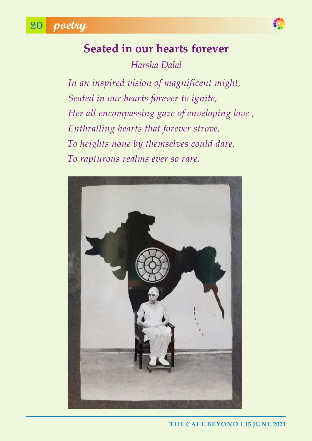



## **Seated in our hearts forever**

*Harsha Dalal*

*In an inspired vision of magnificent might, Seated in our hearts forever to ignite, Her all encompassing gaze of enveloping love , Enthralling hearts that forever strove, To heights none by themselves could dare, To rapturous realms ever so rare.*

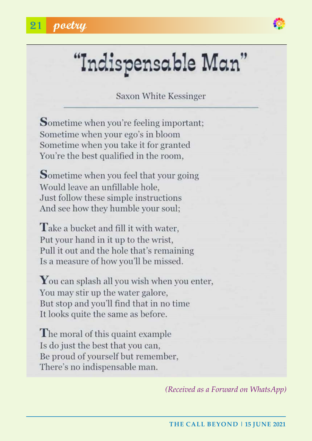

# "Indispensable Man"

Saxon White Kessinger

**Sometime when you're feeling important;** Sometime when your ego's in bloom Sometime when you take it for granted You're the best qualified in the room,

**Sometime when you feel that your going** Would leave an unfillable hole. Just follow these simple instructions And see how they humble your soul;

Take a bucket and fill it with water. Put your hand in it up to the wrist, Pull it out and the hole that's remaining Is a measure of how you'll be missed.

You can splash all you wish when you enter, You may stir up the water galore, But stop and you'll find that in no time It looks quite the same as before.

The moral of this quaint example Is do just the best that you can, Be proud of yourself but remember, There's no indispensable man.

*(Received as a Forward on WhatsApp)*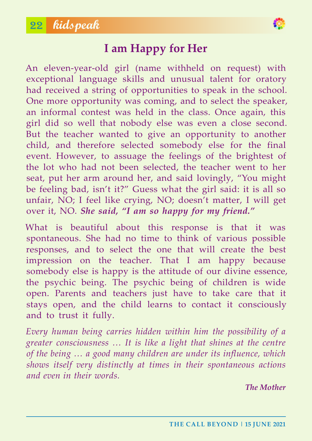

## **I am happy for her**

An eleven-year-old girl (name withheld on request) with exceptional language skills and unusual talent for oratory had received a string of opportunities to speak in the school. One more opportunity was coming, and to select the speaker, an informal contest was held in the class. Once again, this girl did so well that nobody else was even a close second. But the teacher wanted to give an opportunity to another child, and therefore selected somebody else for the final event. However, to assuage the feelings of the brightest of the lot who had not been selected, the teacher went to her seat, put her arm around her, and said lovingly, "You might be feeling bad, isn't it?" Guess what the girl said: it is all so unfair, NO; I feel like crying, NO; doesn't matter, I will get over it, NO. *She said, "I am so happy for my friend."*

What is beautiful about this response is that it was spontaneous. She had no time to think of various possible responses, and to select the one that will create the best impression on the teacher. That I am happy because somebody else is happy is the attitude of our divine essence, the psychic being. The psychic being of children is wide open. Parents and teachers just have to take care that it stays open, and the child learns to contact it consciously and to trust it fully.

*Every human being carries hidden within him the possibility of a greater consciousness … It is like a light that shines at the centre of the being … a good many children are under its influence, which shows itself very distinctly at times in their spontaneous actions and even in their words.*

#### *The Mother*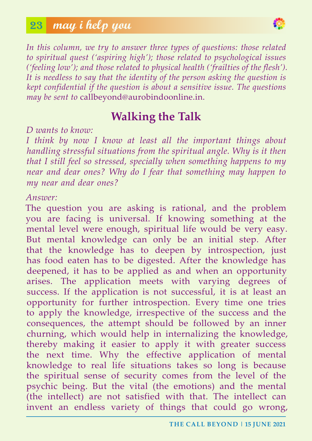## **may i help you** 23



In this column, we try to answer three types of questions: those related *to spiritual quest ('aspiring high'); those related to psychological issues ('feeling low'); and those related to physical health ('frailties of the flesh'). It is needless to say that the identity of the person asking the question is kept confidential if the question is about a sensitive issue. The questions may be sent to* callbeyond@aurobindoonline.in.

## **Walking the Talk**

*D wants to know:*

*I think by now I know at least all the important things about handling stressful situations from the spiritual angle. Why is it then that I still feel so stressed, specially when something happens to my near and dear ones? Why do I fear that something may happen to my near and dear ones?*

#### *Answer:*

The question you are asking is rational, and the problem you are facing is universal. If knowing something at the mental level were enough, spiritual life would be very easy. But mental knowledge can only be an initial step. After that the knowledge has to deepen by introspection, just has food eaten has to be digested. After the knowledge has deepened, it has to be applied as and when an opportunity arises. The application meets with varying degrees of success. If the application is not successful, it is at least an opportunity for further introspection. Every time one tries to apply the knowledge, irrespective of the success and the consequences, the attempt should be followed by an inner churning, which would help in internalizing the knowledge, thereby making it easier to apply it with greater success the next time. Why the effective application of mental knowledge to real life situations takes so long is because the spiritual sense of security comes from the level of the psychic being. But the vital (the emotions) and the mental (the intellect) are not satisfied with that. The intellect can invent an endless variety of things that could go wrong,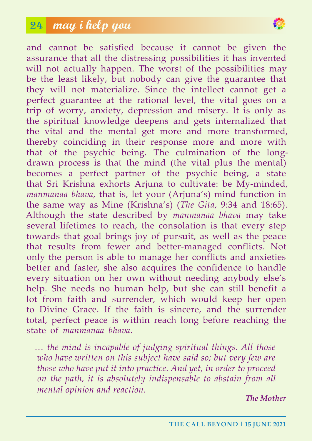

and cannot be satisfied because it cannot be given the assurance that all the distressing possibilities it has invented will not actually happen. The worst of the possibilities may be the least likely, but nobody can give the guarantee that they will not materialize. Since the intellect cannot get a perfect guarantee at the rational level, the vital goes on a trip of worry, anxiety, depression and misery. It is only as the spiritual knowledge deepens and gets internalized that the vital and the mental get more and more transformed, thereby coinciding in their response more and more with that of the psychic being. The culmination of the longdrawn process is that the mind (the vital plus the mental) becomes a perfect partner of the psychic being, a state that Sri Krishna exhorts Arjuna to cultivate: be My-minded, *manmanaa bhava*, that is, let your (Arjuna's) mind function in the same way as Mine (Krishna's) (*The Gita*, 9:34 and 18:65). Although the state described by *manmanaa bhava* may take several lifetimes to reach, the consolation is that every step towards that goal brings joy of pursuit, as well as the peace that results from fewer and better-managed conflicts. Not only the person is able to manage her conflicts and anxieties better and faster, she also acquires the confidence to handle every situation on her own without needing anybody else's help. She needs no human help, but she can still benefit a lot from faith and surrender, which would keep her open to Divine Grace. If the faith is sincere, and the surrender total, perfect peace is within reach long before reaching the state of *manmanaa bhava*.

*… the mind is incapable of judging spiritual things. All those who have written on this subject have said so; but very few are those who have put it into practice. And yet, in order to proceed on the path, it is absolutely indispensable to abstain from all mental opinion and reaction.*

*The Mother*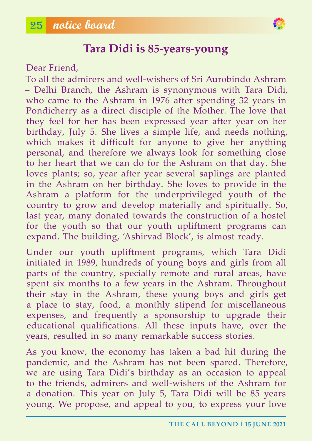

## **Tara Didi is 85-years-young**

#### Dear Friend,

To all the admirers and well-wishers of Sri Aurobindo Ashram – Delhi Branch, the Ashram is synonymous with Tara Didi, who came to the Ashram in 1976 after spending 32 years in Pondicherry as a direct disciple of the Mother. The love that they feel for her has been expressed year after year on her birthday, July 5. She lives a simple life, and needs nothing, which makes it difficult for anyone to give her anything personal, and therefore we always look for something close to her heart that we can do for the Ashram on that day. She loves plants; so, year after year several saplings are planted in the Ashram on her birthday. She loves to provide in the Ashram a platform for the underprivileged youth of the country to grow and develop materially and spiritually. So, last year, many donated towards the construction of a hostel for the youth so that our youth upliftment programs can expand. The building, 'Ashirvad Block', is almost ready.

Under our youth upliftment programs, which Tara Didi initiated in 1989, hundreds of young boys and girls from all parts of the country, specially remote and rural areas, have spent six months to a few years in the Ashram. Throughout their stay in the Ashram, these young boys and girls get a place to stay, food, a monthly stipend for miscellaneous expenses, and frequently a sponsorship to upgrade their educational qualifications. All these inputs have, over the years, resulted in so many remarkable success stories.

As you know, the economy has taken a bad hit during the pandemic, and the Ashram has not been spared. Therefore, we are using Tara Didi's birthday as an occasion to appeal to the friends, admirers and well-wishers of the Ashram for a donation. This year on July 5, Tara Didi will be 85 years young. We propose, and appeal to you, to express your love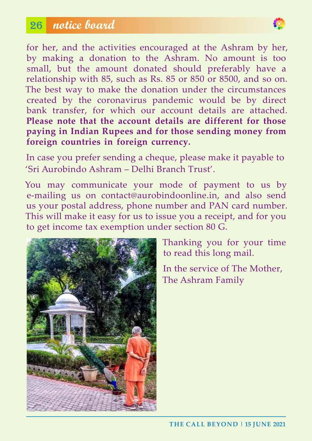## **notice board** 26



for her, and the activities encouraged at the Ashram by her, by making a donation to the Ashram. No amount is too small, but the amount donated should preferably have a relationship with 85, such as Rs. 85 or 850 or 8500, and so on. The best way to make the donation under the circumstances created by the coronavirus pandemic would be by direct bank transfer, for which our account details are attached. **Please note that the account details are different for those paying in Indian Rupees and for those sending money from foreign countries in foreign currency.**

In case you prefer sending a cheque, please make it payable to 'Sri Aurobindo Ashram – Delhi Branch Trust'.

You may communicate your mode of payment to us by e-mailing us on contact@aurobindoonline.in, and also send us your postal address, phone number and PAN card number. This will make it easy for us to issue you a receipt, and for you to get income tax exemption under section 80 G.



Thanking you for your time to read this long mail.

In the service of The Mother, The Ashram Family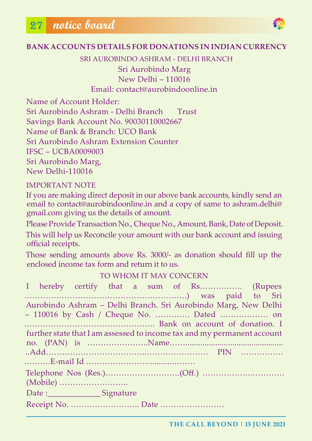

#### **BanK aCCoUnTS deTaIlS FoR donaTIonS In IndIan CURRenCy**

SRI AUROBINDO ASHRAM - DELHI BRANCH Sri Aurobindo Marg New Delhi – 110016 Email: contact@aurobindoonline.in

Name of Account Holder: Sri Aurobindo Ashram - Delhi Branch Trust Savings Bank Account No. 90030110002667 Name of Bank & Branch: UCO Bank Sri Aurobindo Ashram Extension Counter IFSC – UCBA0009003 Sri Aurobindo Marg, New Delhi-110016

#### IMPORTANT NOTE

If you are making direct deposit in our above bank accounts, kindly send an email to contact@aurobindoonline.in and a copy of same to ashram.delhi@ gmail.com giving us the details of amount.

Please Provide Transaction No., Cheque No., Amount, Bank, Date of Deposit. This will help us Reconcile your amount with our bank account and issuing official receipts.

Those sending amounts above Rs. 3000/- as donation should fill up the enclosed income tax form and return it to us.

#### TO WHOM IT MAY CONCERN

|                                                                         | I hereby certify that a sum of Rs (Rupees |  |  |  |  |  |  |  |  |  |  |  |
|-------------------------------------------------------------------------|-------------------------------------------|--|--|--|--|--|--|--|--|--|--|--|
|                                                                         | was paid to Sri                           |  |  |  |  |  |  |  |  |  |  |  |
| Aurobindo Ashram - Delhi Branch. Sri Aurobindo Marg, New Delhi          |                                           |  |  |  |  |  |  |  |  |  |  |  |
| - 110016 by Cash / Cheque No.  Dated  on                                |                                           |  |  |  |  |  |  |  |  |  |  |  |
|                                                                         |                                           |  |  |  |  |  |  |  |  |  |  |  |
| further state that I am assessed to income tax and my permanent account |                                           |  |  |  |  |  |  |  |  |  |  |  |
|                                                                         |                                           |  |  |  |  |  |  |  |  |  |  |  |
|                                                                         |                                           |  |  |  |  |  |  |  |  |  |  |  |
|                                                                         |                                           |  |  |  |  |  |  |  |  |  |  |  |
|                                                                         |                                           |  |  |  |  |  |  |  |  |  |  |  |
|                                                                         |                                           |  |  |  |  |  |  |  |  |  |  |  |
|                                                                         | Date :________________Signature           |  |  |  |  |  |  |  |  |  |  |  |
|                                                                         |                                           |  |  |  |  |  |  |  |  |  |  |  |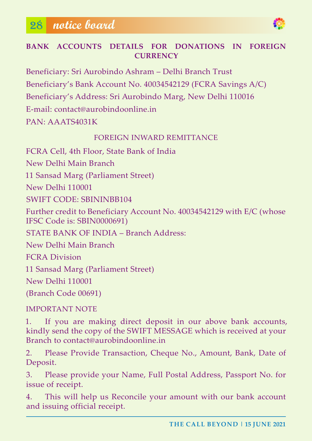#### **notice board** 28



#### **BanK aCCoUnTS deTaIlS FoR donaTIonS In FoReIGn CURRenCy**

Beneficiary: Sri Aurobindo Ashram – Delhi Branch Trust Beneficiary's Bank Account No. 40034542129 (FCRA Savings A/C) Beneficiary's Address: Sri Aurobindo Marg, New Delhi 110016 E-mail: contact@aurobindoonline.in PAN: AAATS4031K

#### FOREIGN INWARD REMITTANCE

FCRA Cell, 4th Floor, State Bank of India New Delhi Main Branch 11 Sansad Marg (Parliament Street) New Delhi 110001 SWIFT CODE: SBININBB104 Further credit to Beneficiary Account No. 40034542129 with E/C (whose IFSC Code is: SBIN0000691) STATE BANK OF INDIA – Branch Address: New Delhi Main Branch FCRA Division 11 Sansad Marg (Parliament Street) New Delhi 110001

(Branch Code 00691)

IMPORTANT NOTE

1. If you are making direct deposit in our above bank accounts, kindly send the copy of the SWIFT MESSAGE which is received at your Branch to contact@aurobindoonline.in

2. Please Provide Transaction, Cheque No., Amount, Bank, Date of Deposit.

3. Please provide your Name, Full Postal Address, Passport No. for issue of receipt.

4. This will help us Reconcile your amount with our bank account and issuing official receipt.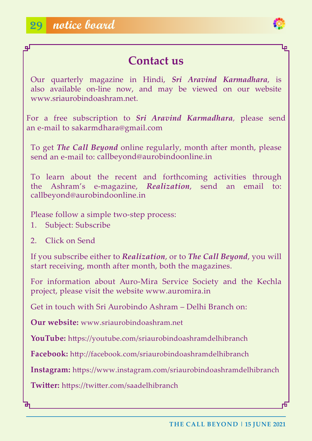

## **Contact us**

Our quarterly magazine in Hindi, *Sri Aravind Karmadhara*, is also available on-line now, and may be viewed on our website www.sriaurobindoashram.net.

For a free subscription to *Sri Aravind Karmadhara,* please send an e-mail to sakarmdhara@gmail.com

To get *The Call Beyond* online regularly, month after month, please send an e-mail to: callbeyond@aurobindoonline.in

To learn about the recent and forthcoming activities through the Ashram's e-magazine, *Realization*, send an email to: callbeyond@aurobindoonline.in

Please follow a simple two-step process:

- 1. Subject: Subscribe
- 2. Click on Send

If you subscribe either to *Realization*, or to *The Call Beyond*, you will start receiving, month after month, both the magazines.

For information about Auro-Mira Service Society and the Kechla project, please visit the website www.auromira.in

Get in touch with Sri Aurobindo Ashram – Delhi Branch on:

**our website:** www.sriaurobindoashram.net

**youTube:** https://youtube.com/sriaurobindoashramdelhibranch

**Facebook:** http://facebook.com/sriaurobindoashramdelhibranch

**Instagram:** https://www.instagram.com/sriaurobindoashramdelhibranch

**Twitter:** https://twitter.com/saadelhibranch